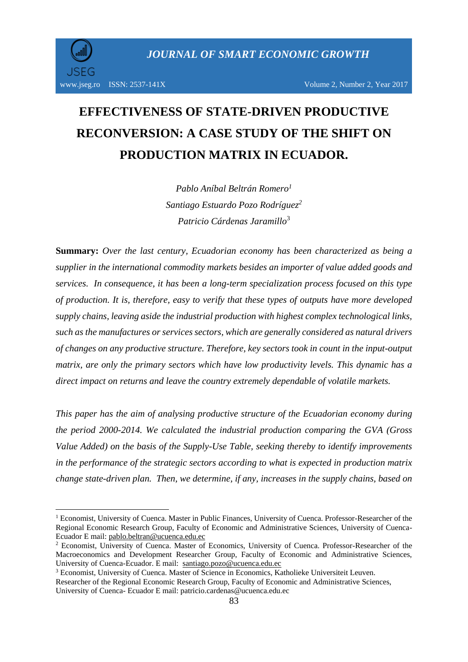1

# **EFFECTIVENESS OF STATE-DRIVEN PRODUCTIVE RECONVERSION: A CASE STUDY OF THE SHIFT ON PRODUCTION MATRIX IN ECUADOR.**

*Pablo Aníbal Beltrán Romero<sup>1</sup> Santiago Estuardo Pozo Rodríguez<sup>2</sup> Patricio Cárdenas Jaramillo*<sup>3</sup>

**Summary:** *Over the last century, Ecuadorian economy has been characterized as being a supplier in the international commodity markets besides an importer of value added goods and services. In consequence, it has been a long-term specialization process focused on this type of production. It is, therefore, easy to verify that these types of outputs have more developed supply chains, leaving aside the industrial production with highest complex technological links, such as the manufactures or services sectors, which are generally considered as natural drivers of changes on any productive structure. Therefore, key sectors took in count in the input-output matrix, are only the primary sectors which have low productivity levels. This dynamic has a direct impact on returns and leave the country extremely dependable of volatile markets.*

*This paper has the aim of analysing productive structure of the Ecuadorian economy during the period 2000-2014. We calculated the industrial production comparing the GVA (Gross Value Added) on the basis of the Supply-Use Table, seeking thereby to identify improvements in the performance of the strategic sectors according to what is expected in production matrix change state-driven plan. Then, we determine, if any, increases in the supply chains, based on* 

<sup>&</sup>lt;sup>1</sup> Economist, University of Cuenca. Master in Public Finances, University of Cuenca. Professor-Researcher of the Regional Economic Research Group, Faculty of Economic and Administrative Sciences, University of Cuenca-Ecuador E mail: [pablo.beltran@ucuenca.edu.ec](mailto:pablo.beltran@ucuenca.edu.ec)

<sup>&</sup>lt;sup>2</sup> Economist, University of Cuenca. Master of Economics, University of Cuenca. Professor-Researcher of the Macroeconomics and Development Researcher Group, Faculty of Economic and Administrative Sciences, University of Cuenca-Ecuador. E mail: [santiago.pozo@ucuenca.edu.ec](mailto:santiago.pozo@ucuenca.edu.ec)

<sup>&</sup>lt;sup>3</sup> Economist, University of Cuenca. Master of Science in Economics, Katholieke Universiteit Leuven.

Researcher of the Regional Economic Research Group, Faculty of Economic and Administrative Sciences, University of Cuenca- Ecuador E mail: patricio.cardenas@ucuenca.edu.ec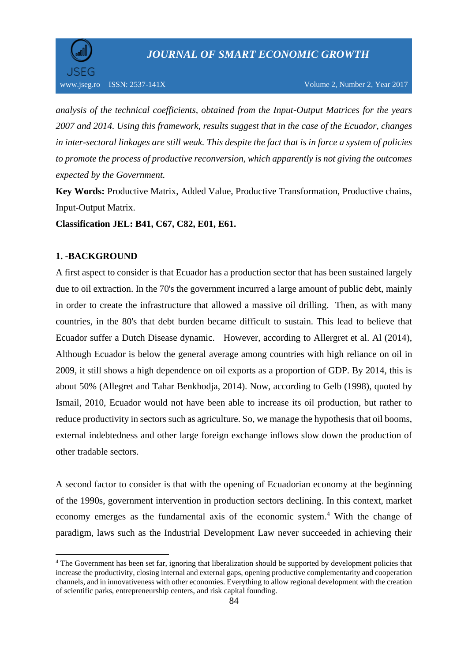

*analysis of the technical coefficients, obtained from the Input-Output Matrices for the years 2007 and 2014. Using this framework, results suggest that in the case of the Ecuador, changes in inter-sectoral linkages are still weak. This despite the fact that is in force a system of policies to promote the process of productive reconversion, which apparently is not giving the outcomes expected by the Government.*

**Key Words:** Productive Matrix, Added Value, Productive Transformation, Productive chains, Input-Output Matrix.

**Classification JEL: B41, C67, C82, E01, E61.** 

## **1. -BACKGROUND**

**.** 

A first aspect to consider is that Ecuador has a production sector that has been sustained largely due to oil extraction. In the 70's the government incurred a large amount of public debt, mainly in order to create the infrastructure that allowed a massive oil drilling. Then, as with many countries, in the 80's that debt burden became difficult to sustain. This lead to believe that Ecuador suffer a Dutch Disease dynamic. However, according to Allergret et al. Al (2014), Although Ecuador is below the general average among countries with high reliance on oil in 2009, it still shows a high dependence on oil exports as a proportion of GDP. By 2014, this is about 50% (Allegret and Tahar Benkhodja, 2014). Now, according to Gelb (1998), quoted by Ismail, 2010, Ecuador would not have been able to increase its oil production, but rather to reduce productivity in sectors such as agriculture. So, we manage the hypothesis that oil booms, external indebtedness and other large foreign exchange inflows slow down the production of other tradable sectors.

A second factor to consider is that with the opening of Ecuadorian economy at the beginning of the 1990s, government intervention in production sectors declining. In this context, market economy emerges as the fundamental axis of the economic system. <sup>4</sup> With the change of paradigm, laws such as the Industrial Development Law never succeeded in achieving their

<sup>4</sup> The Government has been set far, ignoring that liberalization should be supported by development policies that increase the productivity, closing internal and external gaps, opening productive complementarity and cooperation channels, and in innovativeness with other economies. Everything to allow regional development with the creation of scientific parks, entrepreneurship centers, and risk capital founding.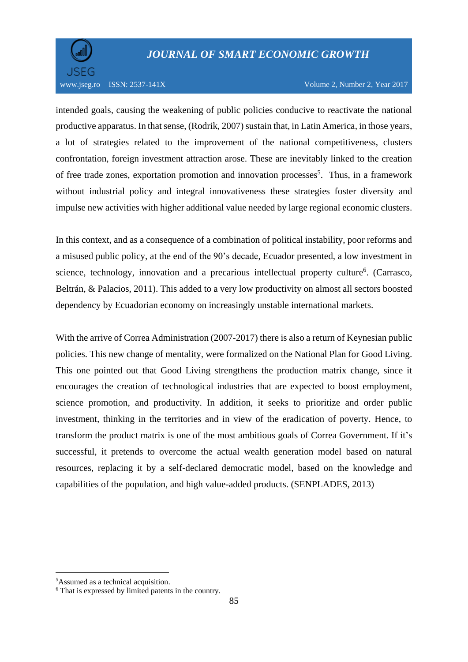

intended goals, causing the weakening of public policies conducive to reactivate the national productive apparatus. In that sense, (Rodrik, 2007) sustain that, in Latin America, in those years, a lot of strategies related to the improvement of the national competitiveness, clusters confrontation, foreign investment attraction arose. These are inevitably linked to the creation of free trade zones, exportation promotion and innovation processes<sup>5</sup>. Thus, in a framework without industrial policy and integral innovativeness these strategies foster diversity and impulse new activities with higher additional value needed by large regional economic clusters.

In this context, and as a consequence of a combination of political instability, poor reforms and a misused public policy, at the end of the 90's decade, Ecuador presented, a low investment in science, technology, innovation and a precarious intellectual property culture<sup>6</sup>. (Carrasco, Beltrán, & Palacios, 2011). This added to a very low productivity on almost all sectors boosted dependency by Ecuadorian economy on increasingly unstable international markets.

With the arrive of Correa Administration (2007-2017) there is also a return of Keynesian public policies. This new change of mentality, were formalized on the National Plan for Good Living. This one pointed out that Good Living strengthens the production matrix change, since it encourages the creation of technological industries that are expected to boost employment, science promotion, and productivity. In addition, it seeks to prioritize and order public investment, thinking in the territories and in view of the eradication of poverty. Hence, to transform the product matrix is one of the most ambitious goals of Correa Government. If it's successful, it pretends to overcome the actual wealth generation model based on natural resources, replacing it by a self-declared democratic model, based on the knowledge and capabilities of the population, and high value-added products. (SENPLADES, 2013)

1

<sup>5</sup>Assumed as a technical acquisition.

<sup>6</sup> That is expressed by limited patents in the country.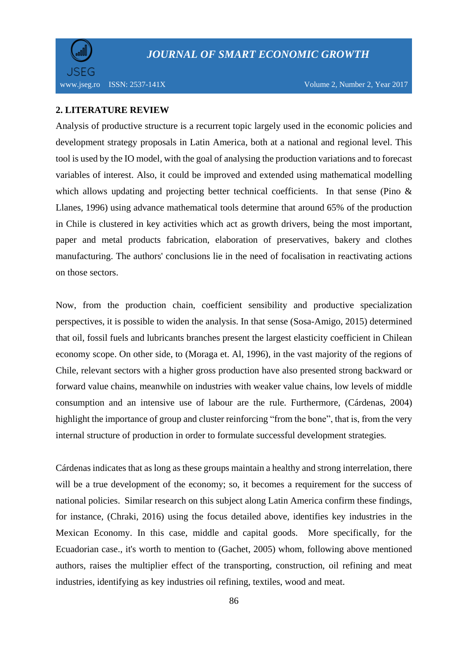

## **2. LITERATURE REVIEW**

Analysis of productive structure is a recurrent topic largely used in the economic policies and development strategy proposals in Latin America, both at a national and regional level. This tool is used by the IO model, with the goal of analysing the production variations and to forecast variables of interest. Also, it could be improved and extended using mathematical modelling which allows updating and projecting better technical coefficients. In that sense (Pino  $\&$ Llanes, 1996) using advance mathematical tools determine that around 65% of the production in Chile is clustered in key activities which act as growth drivers, being the most important, paper and metal products fabrication, elaboration of preservatives, bakery and clothes manufacturing. The authors' conclusions lie in the need of focalisation in reactivating actions on those sectors.

Now, from the production chain, coefficient sensibility and productive specialization perspectives, it is possible to widen the analysis. In that sense (Sosa-Amigo, 2015) determined that oil, fossil fuels and lubricants branches present the largest elasticity coefficient in Chilean economy scope. On other side, to (Moraga et. Al, 1996), in the vast majority of the regions of Chile, relevant sectors with a higher gross production have also presented strong backward or forward value chains, meanwhile on industries with weaker value chains, low levels of middle consumption and an intensive use of labour are the rule. Furthermore, (Cárdenas, 2004) highlight the importance of group and cluster reinforcing "from the bone", that is, from the very internal structure of production in order to formulate successful development strategies*.* 

Cárdenas indicates that as long as these groups maintain a healthy and strong interrelation, there will be a true development of the economy; so, it becomes a requirement for the success of national policies. Similar research on this subject along Latin America confirm these findings, for instance, (Chraki, 2016) using the focus detailed above, identifies key industries in the Mexican Economy. In this case, middle and capital goods. More specifically, for the Ecuadorian case., it's worth to mention to (Gachet, 2005) whom, following above mentioned authors, raises the multiplier effect of the transporting, construction, oil refining and meat industries, identifying as key industries oil refining, textiles, wood and meat.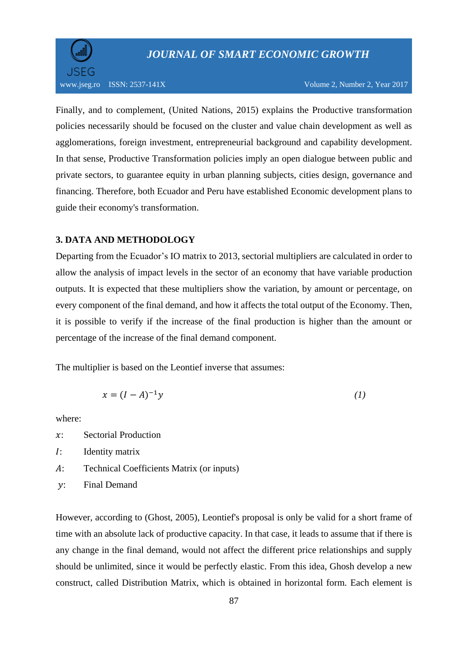

www.jseg.ro ISSN: 2537-141X Volume 2, Number 2, Year 2017

Finally, and to complement, (United Nations, 2015) explains the Productive transformation policies necessarily should be focused on the cluster and value chain development as well as agglomerations, foreign investment, entrepreneurial background and capability development. In that sense, Productive Transformation policies imply an open dialogue between public and private sectors, to guarantee equity in urban planning subjects, cities design, governance and financing. Therefore, both Ecuador and Peru have established Economic development plans to guide their economy's transformation.

### **3. DATA AND METHODOLOGY**

Departing from the Ecuador's IO matrix to 2013, sectorial multipliers are calculated in order to allow the analysis of impact levels in the sector of an economy that have variable production outputs. It is expected that these multipliers show the variation, by amount or percentage, on every component of the final demand, and how it affects the total output of the Economy. Then, it is possible to verify if the increase of the final production is higher than the amount or percentage of the increase of the final demand component.

The multiplier is based on the Leontief inverse that assumes:

$$
x = (I - A)^{-1}y\tag{1}
$$

where:

- : Sectorial Production
- : Identity matrix
- : Technical Coefficients Matrix (or inputs)
- : Final Demand

However, according to (Ghost, 2005), Leontief's proposal is only be valid for a short frame of time with an absolute lack of productive capacity. In that case, it leads to assume that if there is any change in the final demand, would not affect the different price relationships and supply should be unlimited, since it would be perfectly elastic. From this idea, Ghosh develop a new construct, called Distribution Matrix, which is obtained in horizontal form. Each element is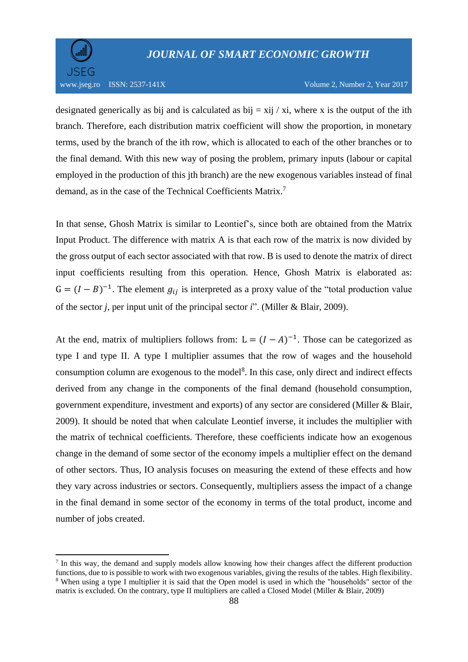**.** 

designated generically as bij and is calculated as  $bij = xij / xi$ , where x is the output of the ith branch. Therefore, each distribution matrix coefficient will show the proportion, in monetary terms, used by the branch of the ith row, which is allocated to each of the other branches or to the final demand. With this new way of posing the problem, primary inputs (labour or capital employed in the production of this jth branch) are the new exogenous variables instead of final demand, as in the case of the Technical Coefficients Matrix.<sup>7</sup>

In that sense, Ghosh Matrix is similar to Leontief's, since both are obtained from the Matrix Input Product. The difference with matrix A is that each row of the matrix is now divided by the gross output of each sector associated with that row. B is used to denote the matrix of direct input coefficients resulting from this operation. Hence, Ghosh Matrix is elaborated as:  $G = (I - B)^{-1}$ . The element  $g_{ij}$  is interpreted as a proxy value of the "total production value" of the sector *j*, per input unit of the principal sector *i*". (Miller & Blair, 2009).

At the end, matrix of multipliers follows from:  $L = (I - A)^{-1}$ . Those can be categorized as type I and type II. A type I multiplier assumes that the row of wages and the household consumption column are exogenous to the model<sup>8</sup>. In this case, only direct and indirect effects derived from any change in the components of the final demand (household consumption, government expenditure, investment and exports) of any sector are considered (Miller & Blair, 2009). It should be noted that when calculate Leontief inverse, it includes the multiplier with the matrix of technical coefficients. Therefore, these coefficients indicate how an exogenous change in the demand of some sector of the economy impels a multiplier effect on the demand of other sectors. Thus, IO analysis focuses on measuring the extend of these effects and how they vary across industries or sectors. Consequently, multipliers assess the impact of a change in the final demand in some sector of the economy in terms of the total product, income and number of jobs created.

<sup>&</sup>lt;sup>7</sup> In this way, the demand and supply models allow knowing how their changes affect the different production functions, due to is possible to work with two exogenous variables, giving the results of the tables. High flexibility. <sup>8</sup> When using a type I multiplier it is said that the Open model is used in which the "households" sector of the matrix is excluded. On the contrary, type II multipliers are called a Closed Model (Miller & Blair, 2009)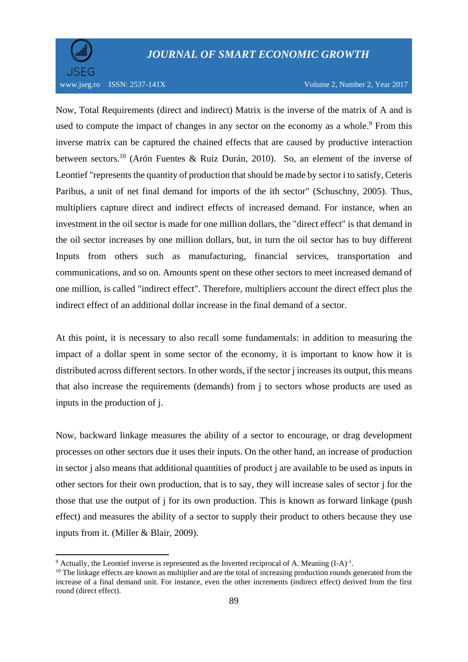

**.** 

## *JOURNAL OF SMART ECONOMIC GROWTH*

#### www.jseg.ro ISSN: 2537-141X Volume 2, Number 2, Year 2017

Now, Total Requirements (direct and indirect) Matrix is the inverse of the matrix of A and is used to compute the impact of changes in any sector on the economy as a whole.<sup>9</sup> From this inverse matrix can be captured the chained effects that are caused by productive interaction between sectors. <sup>10</sup> (Arón Fuentes & Ruiz Durán, 2010). So, an element of the inverse of Leontief "represents the quantity of production that should be made by sector i to satisfy, Ceteris Paribus, a unit of net final demand for imports of the ith sector" (Schuschny, 2005). Thus, multipliers capture direct and indirect effects of increased demand. For instance, when an investment in the oil sector is made for one million dollars, the "direct effect" is that demand in the oil sector increases by one million dollars, but, in turn the oil sector has to buy different Inputs from others such as manufacturing, financial services, transportation and communications, and so on. Amounts spent on these other sectors to meet increased demand of one million, is called "indirect effect". Therefore, multipliers account the direct effect plus the indirect effect of an additional dollar increase in the final demand of a sector.

At this point, it is necessary to also recall some fundamentals: in addition to measuring the impact of a dollar spent in some sector of the economy, it is important to know how it is distributed across different sectors. In other words, if the sector j increases its output, this means that also increase the requirements (demands) from j to sectors whose products are used as inputs in the production of j.

Now, backward linkage measures the ability of a sector to encourage, or drag development processes on other sectors due it uses their inputs. On the other hand, an increase of production in sector j also means that additional quantities of product j are available to be used as inputs in other sectors for their own production, that is to say, they will increase sales of sector j for the those that use the output of j for its own production. This is known as forward linkage (push effect) and measures the ability of a sector to supply their product to others because they use inputs from it. (Miller & Blair, 2009).

 $9$  Actually, the Leontief inverse is represented as the Inverted reciprocal of A. Meaning  $(I-A)^{-1}$ .

<sup>&</sup>lt;sup>10</sup> The linkage effects are known as multiplier and are the total of increasing production rounds generated from the increase of a final demand unit. For instance, even the other increments (indirect effect) derived from the first round (direct effect).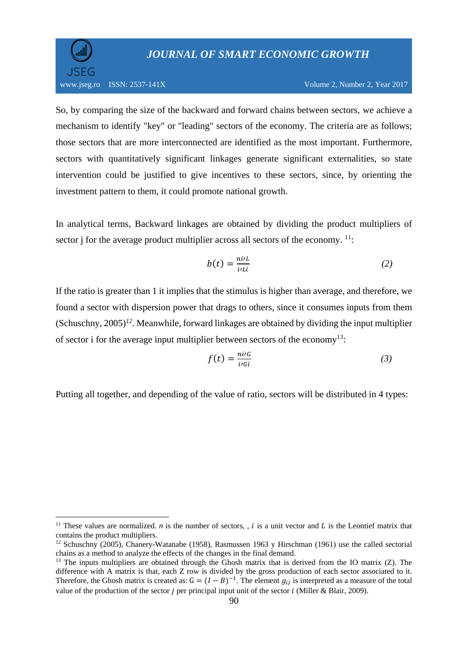

1

So, by comparing the size of the backward and forward chains between sectors, we achieve a mechanism to identify "key" or "leading" sectors of the economy. The criteria are as follows; those sectors that are more interconnected are identified as the most important. Furthermore, sectors with quantitatively significant linkages generate significant externalities, so state intervention could be justified to give incentives to these sectors, since, by orienting the investment pattern to them, it could promote national growth.

In analytical terms, Backward linkages are obtained by dividing the product multipliers of sector j for the average product multiplier across all sectors of the economy.  $11$ :

$$
b(t) = \frac{n i t}{i r L i} \tag{2}
$$

If the ratio is greater than 1 it implies that the stimulus is higher than average, and therefore, we found a sector with dispersion power that drags to others, since it consumes inputs from them (Schuschny, 2005)*<sup>12</sup> .* Meanwhile, forward linkages are obtained by dividing the input multiplier of sector i for the average input multiplier between sectors of the economy<sup>13</sup>:

$$
f(t) = \frac{n i \ell}{i \ell i} \tag{3}
$$

Putting all together, and depending of the value of ratio, sectors will be distributed in 4 types:

<sup>&</sup>lt;sup>11</sup> These values are normalized. *n* is the number of sectors, , *i* is a unit vector and *L* is the Leontief matrix that contains the product multipliers.

<sup>&</sup>lt;sup>12</sup> Schuschny (2005), Chanery-Watanabe (1958), Rasmussen 1963 y Hirschman (1961) use the called sectorial chains as a method to analyze the effects of the changes in the final demand.

<sup>&</sup>lt;sup>13</sup> The inputs multipliers are obtained through the Ghosh matrix that is derived from the IO matrix (Z). The difference with A matrix is that, each Z row is divided by the gross production of each sector associated to it. Therefore, the Ghosh matrix is created as:  $G = (I - B)^{-1}$ . The element  $g_{ij}$  is interpreted as a measure of the total value of the production of the sector *j* per principal input unit of the sector *i* (Miller & Blair, 2009).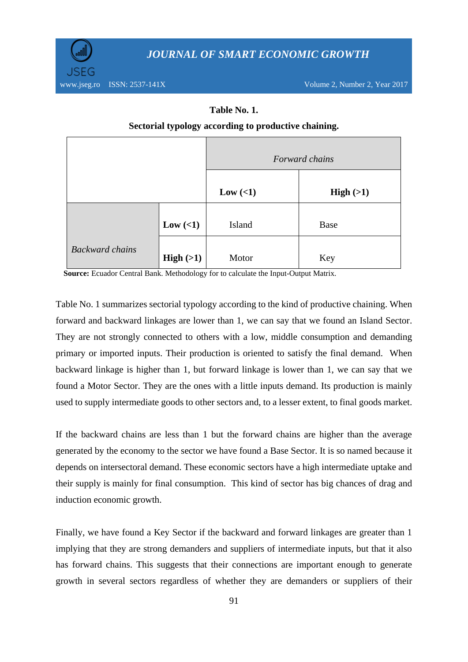

### **Table No. 1.**

### **Sectorial typology according to productive chaining.**

|                        |            | Forward chains |          |  |  |
|------------------------|------------|----------------|----------|--|--|
|                        |            | Low $(\leq 1)$ | High(>1) |  |  |
|                        | Low $(<1)$ | Island         | Base     |  |  |
| <b>Backward chains</b> | High(>1)   | Motor          | Key      |  |  |

 **Source:** Ecuador Central Bank. Methodology for to calculate the Input-Output Matrix.

Table No. 1 summarizes sectorial typology according to the kind of productive chaining. When forward and backward linkages are lower than 1, we can say that we found an Island Sector. They are not strongly connected to others with a low, middle consumption and demanding primary or imported inputs. Their production is oriented to satisfy the final demand. When backward linkage is higher than 1, but forward linkage is lower than 1, we can say that we found a Motor Sector. They are the ones with a little inputs demand. Its production is mainly used to supply intermediate goods to other sectors and, to a lesser extent, to final goods market.

If the backward chains are less than 1 but the forward chains are higher than the average generated by the economy to the sector we have found a Base Sector. It is so named because it depends on intersectoral demand. These economic sectors have a high intermediate uptake and their supply is mainly for final consumption. This kind of sector has big chances of drag and induction economic growth.

Finally, we have found a Key Sector if the backward and forward linkages are greater than 1 implying that they are strong demanders and suppliers of intermediate inputs, but that it also has forward chains. This suggests that their connections are important enough to generate growth in several sectors regardless of whether they are demanders or suppliers of their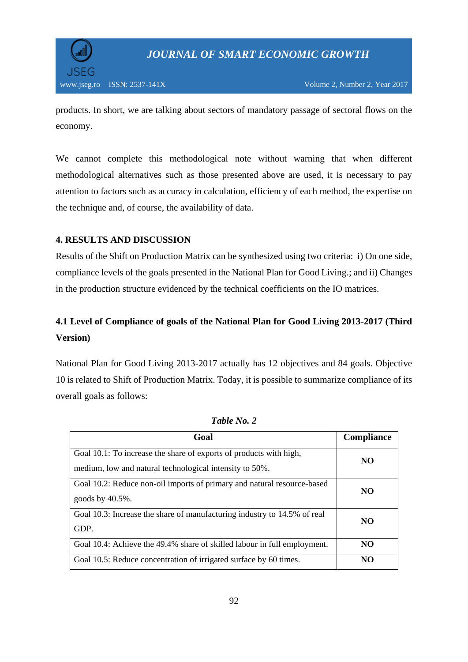

products. In short, we are talking about sectors of mandatory passage of sectoral flows on the economy.

We cannot complete this methodological note without warning that when different methodological alternatives such as those presented above are used, it is necessary to pay attention to factors such as accuracy in calculation, efficiency of each method, the expertise on the technique and, of course, the availability of data.

## **4. RESULTS AND DISCUSSION**

Results of the Shift on Production Matrix can be synthesized using two criteria: i) On one side, compliance levels of the goals presented in the National Plan for Good Living.; and ii) Changes in the production structure evidenced by the technical coefficients on the IO matrices.

## **4.1 Level of Compliance of goals of the National Plan for Good Living 2013-2017 (Third Version)**

National Plan for Good Living 2013-2017 actually has 12 objectives and 84 goals. Objective 10 is related to Shift of Production Matrix. Today, it is possible to summarize compliance of its overall goals as follows:

| Goal                                                                                                                          | <b>Compliance</b> |
|-------------------------------------------------------------------------------------------------------------------------------|-------------------|
| Goal 10.1: To increase the share of exports of products with high,<br>medium, low and natural technological intensity to 50%. | NO                |
| Goal 10.2: Reduce non-oil imports of primary and natural resource-based<br>goods by 40.5%.                                    | N <sub>O</sub>    |
| Goal 10.3: Increase the share of manufacturing industry to 14.5% of real<br>GDP.                                              | NO.               |
| Goal 10.4: Achieve the 49.4% share of skilled labour in full employment.                                                      | NO                |
| Goal 10.5: Reduce concentration of irrigated surface by 60 times.                                                             | NO                |

*Table No. 2*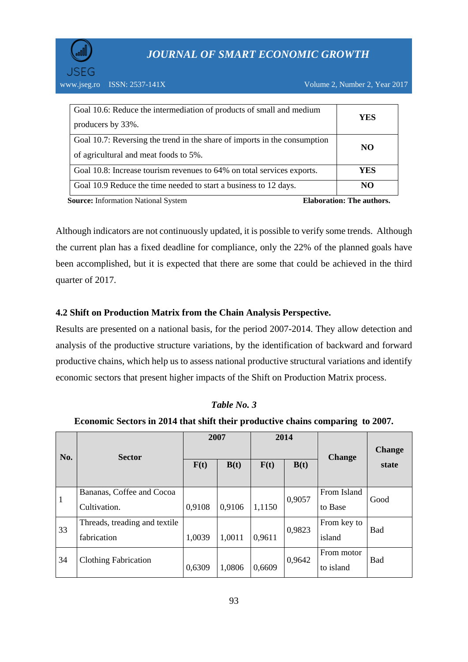

www.jseg.ro ISSN: 2537-141X Volume 2, Number 2, Year 2017

| Goal 10.8: Increase tourism revenues to 64% on total services exports.<br>Goal 10.9 Reduce the time needed to start a business to 12 days. | NO  |
|--------------------------------------------------------------------------------------------------------------------------------------------|-----|
|                                                                                                                                            |     |
|                                                                                                                                            | YES |
| of agricultural and meat foods to 5%.                                                                                                      |     |
| Goal 10.7: Reversing the trend in the share of imports in the consumption                                                                  | NO. |
| producers by 33%.                                                                                                                          |     |
| Goal 10.6: Reduce the intermediation of products of small and medium                                                                       | YES |

Although indicators are not continuously updated, it is possible to verify some trends. Although the current plan has a fixed deadline for compliance, only the 22% of the planned goals have been accomplished, but it is expected that there are some that could be achieved in the third quarter of 2017.

## **4.2 Shift on Production Matrix from the Chain Analysis Perspective.**

Results are presented on a national basis, for the period 2007-2014. They allow detection and analysis of the productive structure variations, by the identification of backward and forward productive chains, which help us to assess national productive structural variations and identify economic sectors that present higher impacts of the Shift on Production Matrix process.

#### **Economic Sectors in 2014 that shift their productive chains comparing to 2007.**

| No.          | <b>Sector</b>                  | 2007   |        | 2014   |        | <b>Change</b> | <b>Change</b> |
|--------------|--------------------------------|--------|--------|--------|--------|---------------|---------------|
|              |                                | F(t)   | B(t)   | F(t)   | B(t)   |               | state         |
| $\mathbf{1}$ | Bananas, Coffee and Cocoa      | 0,9108 | 0,9106 | 1,1150 | 0,9057 | From Island   | Good          |
|              | Cultivation.                   |        |        |        |        | to Base       |               |
| 33           | Threads, treading and textile. |        |        |        | 0,9823 | From key to   | Bad           |
|              | fabrication                    | 1,0039 | 1,0011 | 0.9611 |        | island        |               |
| 34           | <b>Clothing Fabrication</b>    |        |        |        | 0,9642 | From motor    | <b>Bad</b>    |
|              |                                | 0,6309 | 1,0806 | 0,6609 |        | to island     |               |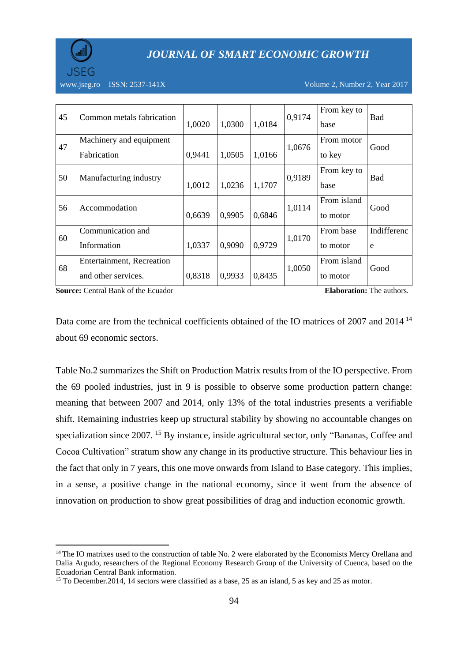

www.jseg.ro ISSN:  $2537-141X$  Volume 2, Number 2, Year 2017

| 45 | Common metals fabrication                        | 1,0020 | 1,0300 | 1,0184 | 0,9174 | From key to<br>base     | <b>Bad</b>       |
|----|--------------------------------------------------|--------|--------|--------|--------|-------------------------|------------------|
| 47 | Machinery and equipment<br>Fabrication           | 0,9441 | 1,0505 | 1,0166 | 1,0676 | From motor<br>to key    | Good             |
| 50 | Manufacturing industry                           | 1,0012 | 1,0236 | 1,1707 | 0,9189 | From key to<br>base     | <b>Bad</b>       |
| 56 | Accommodation                                    | 0,6639 | 0,9905 | 0,6846 | 1,0114 | From island<br>to motor | Good             |
| 60 | Communication and<br>Information                 | 1,0337 | 0,9090 | 0,9729 | 1,0170 | From base<br>to motor   | Indifferenc<br>e |
| 68 | Entertainment, Recreation<br>and other services. | 0,8318 | 0,9933 | 0,8435 | 1,0050 | From island<br>to motor | Good             |

**Source:** Central Bank of the Ecuador **Elaboration: Elaboration:** The authors.

1

Data come are from the technical coefficients obtained of the IO matrices of 2007 and 2014<sup>14</sup> about 69 economic sectors.

Table No.2 summarizes the Shift on Production Matrix results from of the IO perspective. From the 69 pooled industries, just in 9 is possible to observe some production pattern change: meaning that between 2007 and 2014, only 13% of the total industries presents a verifiable shift. Remaining industries keep up structural stability by showing no accountable changes on specialization since 2007. <sup>15</sup> By instance, inside agricultural sector, only "Bananas, Coffee and Cocoa Cultivation" stratum show any change in its productive structure. This behaviour lies in the fact that only in 7 years, this one move onwards from Island to Base category. This implies, in a sense, a positive change in the national economy, since it went from the absence of innovation on production to show great possibilities of drag and induction economic growth.

 $14$  The IO matrixes used to the construction of table No. 2 were elaborated by the Economists Mercy Orellana and Dalia Argudo, researchers of the Regional Economy Research Group of the University of Cuenca, based on the Ecuadorian Central Bank information.

<sup>&</sup>lt;sup>15</sup> To December. 2014, 14 sectors were classified as a base, 25 as an island, 5 as key and 25 as motor.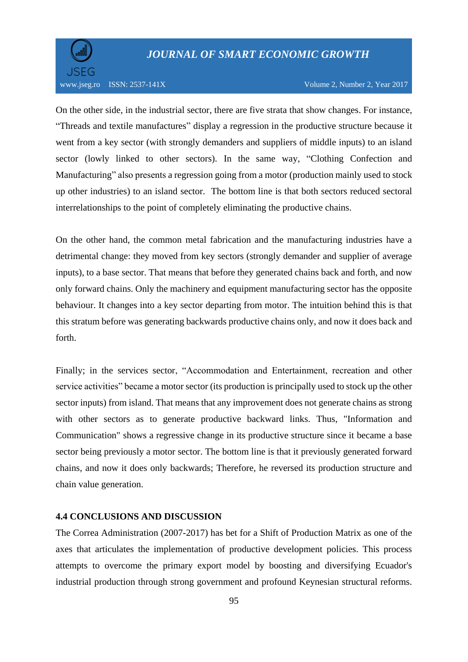

#### www.jseg.ro ISSN: 2537-141X Volume 2, Number 2, Year 2017

On the other side, in the industrial sector, there are five strata that show changes. For instance, "Threads and textile manufactures" display a regression in the productive structure because it went from a key sector (with strongly demanders and suppliers of middle inputs) to an island sector (lowly linked to other sectors). In the same way, "Clothing Confection and Manufacturing" also presents a regression going from a motor (production mainly used to stock up other industries) to an island sector. The bottom line is that both sectors reduced sectoral interrelationships to the point of completely eliminating the productive chains.

On the other hand, the common metal fabrication and the manufacturing industries have a detrimental change: they moved from key sectors (strongly demander and supplier of average inputs), to a base sector. That means that before they generated chains back and forth, and now only forward chains. Only the machinery and equipment manufacturing sector has the opposite behaviour. It changes into a key sector departing from motor. The intuition behind this is that this stratum before was generating backwards productive chains only, and now it does back and forth.

Finally; in the services sector, "Accommodation and Entertainment, recreation and other service activities" became a motor sector (its production is principally used to stock up the other sector inputs) from island. That means that any improvement does not generate chains as strong with other sectors as to generate productive backward links. Thus, "Information and Communication" shows a regressive change in its productive structure since it became a base sector being previously a motor sector. The bottom line is that it previously generated forward chains, and now it does only backwards; Therefore, he reversed its production structure and chain value generation.

#### **4.4 CONCLUSIONS AND DISCUSSION**

The Correa Administration (2007-2017) has bet for a Shift of Production Matrix as one of the axes that articulates the implementation of productive development policies. This process attempts to overcome the primary export model by boosting and diversifying Ecuador's industrial production through strong government and profound Keynesian structural reforms.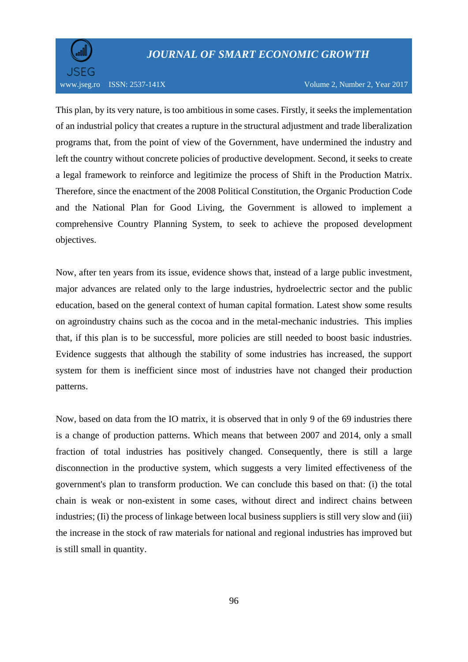

#### www.jseg.ro ISSN: 2537-141X Volume 2, Number 2, Year 2017

This plan, by its very nature, is too ambitious in some cases. Firstly, it seeks the implementation of an industrial policy that creates a rupture in the structural adjustment and trade liberalization programs that, from the point of view of the Government, have undermined the industry and left the country without concrete policies of productive development. Second, it seeks to create a legal framework to reinforce and legitimize the process of Shift in the Production Matrix. Therefore, since the enactment of the 2008 Political Constitution, the Organic Production Code and the National Plan for Good Living, the Government is allowed to implement a comprehensive Country Planning System, to seek to achieve the proposed development objectives.

Now, after ten years from its issue, evidence shows that, instead of a large public investment, major advances are related only to the large industries, hydroelectric sector and the public education, based on the general context of human capital formation. Latest show some results on agroindustry chains such as the cocoa and in the metal-mechanic industries. This implies that, if this plan is to be successful, more policies are still needed to boost basic industries. Evidence suggests that although the stability of some industries has increased, the support system for them is inefficient since most of industries have not changed their production patterns.

Now, based on data from the IO matrix, it is observed that in only 9 of the 69 industries there is a change of production patterns. Which means that between 2007 and 2014, only a small fraction of total industries has positively changed. Consequently, there is still a large disconnection in the productive system, which suggests a very limited effectiveness of the government's plan to transform production. We can conclude this based on that: (i) the total chain is weak or non-existent in some cases, without direct and indirect chains between industries; (Ii) the process of linkage between local business suppliers is still very slow and (iii) the increase in the stock of raw materials for national and regional industries has improved but is still small in quantity.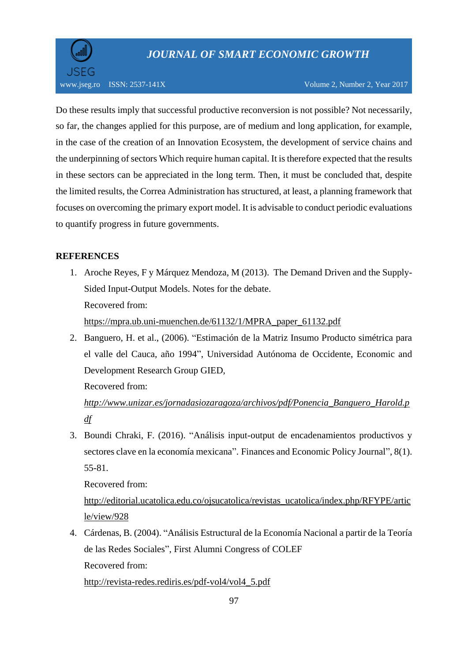

Do these results imply that successful productive reconversion is not possible? Not necessarily, so far, the changes applied for this purpose, are of medium and long application, for example, in the case of the creation of an Innovation Ecosystem, the development of service chains and the underpinning of sectors Which require human capital. It is therefore expected that the results in these sectors can be appreciated in the long term. Then, it must be concluded that, despite the limited results, the Correa Administration has structured, at least, a planning framework that focuses on overcoming the primary export model. It is advisable to conduct periodic evaluations to quantify progress in future governments.

## **REFERENCES**

- 1. Aroche Reyes, F y Márquez Mendoza, M (2013). The Demand Driven and the Supply-Sided Input-Output Models. Notes for the debate. Recovered from: [https://mpra.ub.uni-muenchen.de/61132/1/MPRA\\_paper\\_61132.pdf](https://mpra.ub.uni-muenchen.de/61132/1/MPRA_paper_61132.pdf)
- 2. Banguero, H. et al., (2006). "Estimación de la Matriz Insumo Producto simétrica para el valle del Cauca, año 1994", Universidad Autónoma de Occidente, Economic and Development Research Group GIED,

Recovered from:

*[http://www.unizar.es/jornadasiozaragoza/archivos/pdf/Ponencia\\_Banguero\\_Harold.p](http://www.unizar.es/jornadasiozaragoza/archivos/pdf/Ponencia_Banguero_Harold.pdf) [df](http://www.unizar.es/jornadasiozaragoza/archivos/pdf/Ponencia_Banguero_Harold.pdf)*

3. Boundi Chraki, F. (2016). "Análisis input-output de encadenamientos productivos y sectores clave en la economía mexicana". Finances and Economic Policy Journal", 8(1). 55-81.

Recovered from:

[http://editorial.ucatolica.edu.co/ojsucatolica/revistas\\_ucatolica/index.php/RFYPE/artic](http://editorial.ucatolica.edu.co/ojsucatolica/revistas_ucatolica/index.php/RFYPE/article/view/928) [le/view/928](http://editorial.ucatolica.edu.co/ojsucatolica/revistas_ucatolica/index.php/RFYPE/article/view/928)

4. Cárdenas, B. (2004). "Análisis Estructural de la Economía Nacional a partir de la Teoría de las Redes Sociales", First Alumni Congress of COLEF Recovered from:

[http://revista-redes.rediris.es/pdf-vol4/vol4\\_5.pdf](http://revista-redes.rediris.es/pdf-vol4/vol4_5.pdf)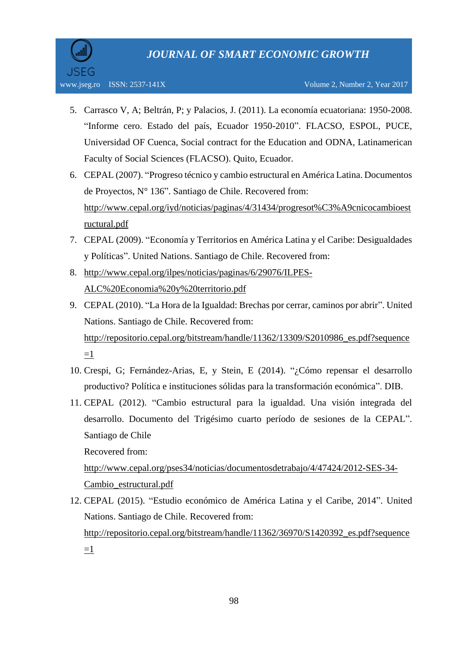- 5. Carrasco V, A; Beltrán, P; y Palacios, J. (2011). La economía ecuatoriana: 1950-2008. "Informe cero. Estado del país, Ecuador 1950-2010". FLACSO, ESPOL, PUCE, Universidad OF Cuenca, Social contract for the Education and ODNA, Latinamerican Faculty of Social Sciences (FLACSO). Quito, Ecuador.
- 6. CEPAL (2007). "Progreso técnico y cambio estructural en América Latina. Documentos de Proyectos, N° 136". Santiago de Chile. Recovered from: [http://www.cepal.org/iyd/noticias/paginas/4/31434/progresot%C3%A9cnicocambioest](http://www.cepal.org/iyd/noticias/paginas/4/31434/progresot%C3%A9cnicocambioestructural.pdf) [ructural.pdf](http://www.cepal.org/iyd/noticias/paginas/4/31434/progresot%C3%A9cnicocambioestructural.pdf)
- 7. CEPAL (2009). "Economía y Territorios en América Latina y el Caribe: Desigualdades y Políticas". United Nations. Santiago de Chile. Recovered from:
- 8. [http://www.cepal.org/ilpes/noticias/paginas/6/29076/ILPES-](http://www.cepal.org/ilpes/noticias/paginas/6/29076/ILPES-ALC%20Economia%20y%20territorio.pdf)[ALC%20Economia%20y%20territorio.pdf](http://www.cepal.org/ilpes/noticias/paginas/6/29076/ILPES-ALC%20Economia%20y%20territorio.pdf)
- 9. CEPAL (2010). "La Hora de la Igualdad: Brechas por cerrar, caminos por abrir". United Nations. Santiago de Chile. Recovered from: [http://repositorio.cepal.org/bitstream/handle/11362/13309/S2010986\\_es.pdf?sequence](http://repositorio.cepal.org/bitstream/handle/11362/13309/S2010986_es.pdf?sequence=1)  $=1$
- 10. Crespi, G; Fernández-Arias, E, y Stein, E (2014). "¿Cómo repensar el desarrollo productivo? Política e instituciones sólidas para la transformación económica". DIB.
- 11. CEPAL (2012). "Cambio estructural para la igualdad. Una visión integrada del desarrollo. Documento del Trigésimo cuarto período de sesiones de la CEPAL". Santiago de Chile Recovered from:

[http://www.cepal.org/pses34/noticias/documentosdetrabajo/4/47424/2012-SES-34-](http://www.cepal.org/pses34/noticias/documentosdetrabajo/4/47424/2012-SES-34-Cambio_estructural.pdf) [Cambio\\_estructural.pdf](http://www.cepal.org/pses34/noticias/documentosdetrabajo/4/47424/2012-SES-34-Cambio_estructural.pdf)

12. CEPAL (2015). "Estudio económico de América Latina y el Caribe, 2014". United Nations. Santiago de Chile. Recovered from: [http://repositorio.cepal.org/bitstream/handle/11362/36970/S1420392\\_es.pdf?sequence](http://repositorio.cepal.org/bitstream/handle/11362/36970/S1420392_es.pdf?sequence=1)  $=1$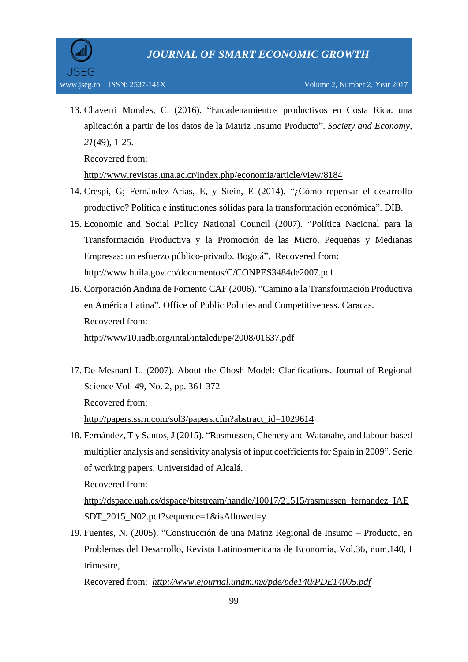13. Chaverri Morales, C. (2016). "Encadenamientos productivos en Costa Rica: una aplicación a partir de los datos de la Matriz Insumo Producto". *Society and Economy, 21*(49), 1-25.

Recovered from:

<http://www.revistas.una.ac.cr/index.php/economia/article/view/8184>

- 14. Crespi, G; Fernández-Arias, E, y Stein, E (2014). "¿Cómo repensar el desarrollo productivo? Política e instituciones sólidas para la transformación económica". DIB.
- 15. Economic and Social Policy National Council (2007). "Política Nacional para la Transformación Productiva y la Promoción de las Micro, Pequeñas y Medianas Empresas: un esfuerzo público-privado. Bogotá". Recovered from: <http://www.huila.gov.co/documentos/C/CONPES3484de2007.pdf>
- 16. Corporación Andina de Fomento CAF (2006). "Camino a la Transformación Productiva en América Latina". Office of Public Policies and Competitiveness. Caracas. Recovered from: <http://www10.iadb.org/intal/intalcdi/pe/2008/01637.pdf>
- 17. De Mesnard L. (2007). About the Ghosh Model: Clarifications. Journal of Regional Science Vol. 49, No. 2, pp. 361-372 Recovered from: [http://papers.ssrn.com/sol3/papers.cfm?abstract\\_id=1029614](http://papers.ssrn.com/sol3/papers.cfm?abstract_id=1029614)
- 18. Fernández, T y Santos, J (2015). "Rasmussen, Chenery and Watanabe, and labour-based multiplier analysis and sensitivity analysis of input coefficients for Spain in 2009". Serie of working papers. Universidad of Alcalá. Recovered from:

[http://dspace.uah.es/dspace/bitstream/handle/10017/21515/rasmussen\\_fernandez\\_IAE](http://dspace.uah.es/dspace/bitstream/handle/10017/21515/rasmussen_fernandez_IAESDT_2015_N02.pdf?sequence=1&isAllowed=y) [SDT\\_2015\\_N02.pdf?sequence=1&isAllowed=y](http://dspace.uah.es/dspace/bitstream/handle/10017/21515/rasmussen_fernandez_IAESDT_2015_N02.pdf?sequence=1&isAllowed=y)

19. Fuentes, N. (2005). "Construcción de una Matriz Regional de Insumo – Producto, en Problemas del Desarrollo, Revista Latinoamericana de Economía, Vol.36, num.140, I trimestre,

Recovered from: *<http://www.ejournal.unam.mx/pde/pde140/PDE14005.pdf>*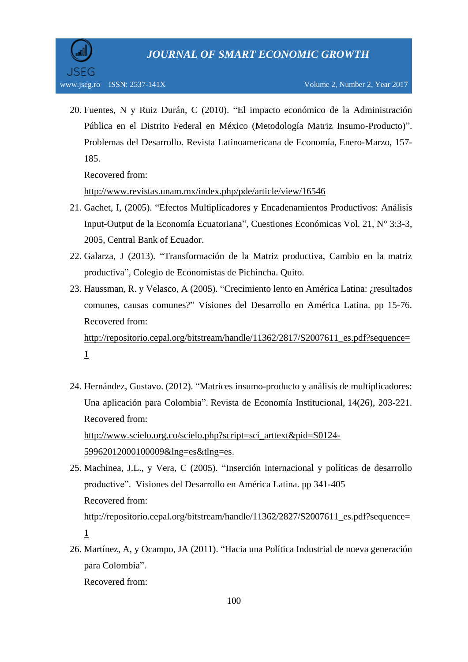20. Fuentes, N y Ruiz Durán, C (2010). "El impacto económico de la Administración Pública en el Distrito Federal en México (Metodología Matriz Insumo-Producto)". Problemas del Desarrollo. Revista Latinoamericana de Economía, Enero-Marzo, 157- 185.

Recovered from:

<http://www.revistas.unam.mx/index.php/pde/article/view/16546>

- 21. Gachet, I, (2005). "Efectos Multiplicadores y Encadenamientos Productivos: Análisis Input-Output de la Economía Ecuatoriana", Cuestiones Económicas Vol. 21, N° 3:3-3, 2005, Central Bank of Ecuador.
- 22. Galarza, J (2013). "Transformación de la Matriz productiva, Cambio en la matriz productiva", Colegio de Economistas de Pichincha. Quito.
- 23. Haussman, R. y Velasco, A (2005). "Crecimiento lento en América Latina: ¿resultados comunes, causas comunes?" Visiones del Desarrollo en América Latina. pp 15-76. Recovered from: [http://repositorio.cepal.org/bitstream/handle/11362/2817/S2007611\\_es.pdf?sequence=](http://repositorio.cepal.org/bitstream/handle/11362/2817/S2007611_es.pdf?sequence=1) [1](http://repositorio.cepal.org/bitstream/handle/11362/2817/S2007611_es.pdf?sequence=1)
- 24. Hernández, Gustavo. (2012). "Matrices insumo-producto y análisis de multiplicadores: Una aplicación para Colombia". Revista de Economía Institucional, 14(26), 203-221. Recovered from: [http://www.scielo.org.co/scielo.php?script=sci\\_arttext&pid=S0124-](http://www.scielo.org.co/scielo.php?script=sci_arttext&pid=S0124-59962012000100009&lng=es&tlng=es)

[59962012000100009&lng=es&tlng=es.](http://www.scielo.org.co/scielo.php?script=sci_arttext&pid=S0124-59962012000100009&lng=es&tlng=es)

- 25. Machinea, J.L., y Vera, C (2005). "Inserción internacional y políticas de desarrollo productive". Visiones del Desarrollo en América Latina. pp 341-405 Recovered from: [http://repositorio.cepal.org/bitstream/handle/11362/2827/S2007611\\_es.pdf?sequence=](http://repositorio.cepal.org/bitstream/handle/11362/2827/S2007611_es.pdf?sequence=1) [1](http://repositorio.cepal.org/bitstream/handle/11362/2827/S2007611_es.pdf?sequence=1)
- 26. Martínez, A, y Ocampo, JA (2011). "Hacia una Política Industrial de nueva generación para Colombia". Recovered from: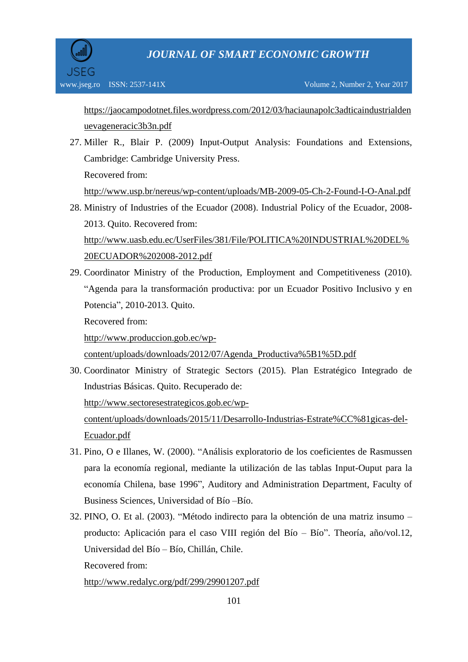[https://jaocampodotnet.files.wordpress.com/2012/03/haciaunapolc3adticaindustrialden](https://jaocampodotnet.files.wordpress.com/2012/03/haciaunapolc3adticaindustrialdenuevageneracic3b3n.pdf) [uevageneracic3b3n.pdf](https://jaocampodotnet.files.wordpress.com/2012/03/haciaunapolc3adticaindustrialdenuevageneracic3b3n.pdf)

27. Miller R., Blair P. (2009) Input-Output Analysis: Foundations and Extensions, Cambridge: Cambridge University Press. Recovered from:

<http://www.usp.br/nereus/wp-content/uploads/MB-2009-05-Ch-2-Found-I-O-Anal.pdf>

28. Ministry of Industries of the Ecuador (2008). Industrial Policy of the Ecuador, 2008- 2013. Quito. Recovered from: [http://www.uasb.edu.ec/UserFiles/381/File/POLITICA%20INDUSTRIAL%20DEL%](http://www.uasb.edu.ec/UserFiles/381/File/POLITICA%20INDUSTRIAL%20DEL%20ECUADOR%202008-2012.pdf)

[20ECUADOR%202008-2012.pdf](http://www.uasb.edu.ec/UserFiles/381/File/POLITICA%20INDUSTRIAL%20DEL%20ECUADOR%202008-2012.pdf)

29. Coordinator Ministry of the Production, Employment and Competitiveness (2010). "Agenda para la transformación productiva: por un Ecuador Positivo Inclusivo y en Potencia", 2010-2013. Quito.

Recovered from:

[http://www.produccion.gob.ec/wp-](http://www.produccion.gob.ec/wp-content/uploads/downloads/2012/07/Agenda_Productiva%5B1%5D.pdf)

[content/uploads/downloads/2012/07/Agenda\\_Productiva%5B1%5D.pdf](http://www.produccion.gob.ec/wp-content/uploads/downloads/2012/07/Agenda_Productiva%5B1%5D.pdf)

30. Coordinator Ministry of Strategic Sectors (2015). Plan Estratégico Integrado de Industrias Básicas. Quito. Recuperado de:

[http://www.sectoresestrategicos.gob.ec/wp-](http://www.sectoresestrategicos.gob.ec/wp-content/uploads/downloads/2015/11/Desarrollo-Industrias-Estrate%CC%81gicas-del-Ecuador.pdf)

[content/uploads/downloads/2015/11/Desarrollo-Industrias-Estrate%CC%81gicas-del-](http://www.sectoresestrategicos.gob.ec/wp-content/uploads/downloads/2015/11/Desarrollo-Industrias-Estrate%CC%81gicas-del-Ecuador.pdf)[Ecuador.pdf](http://www.sectoresestrategicos.gob.ec/wp-content/uploads/downloads/2015/11/Desarrollo-Industrias-Estrate%CC%81gicas-del-Ecuador.pdf)

- 31. Pino, O e Illanes, W. (2000). "Análisis exploratorio de los coeficientes de Rasmussen para la economía regional, mediante la utilización de las tablas Input-Ouput para la economía Chilena, base 1996", Auditory and Administration Department, Faculty of Business Sciences, Universidad of Bío –Bío.
- 32. PINO, O. Et al. (2003). "Método indirecto para la obtención de una matriz insumo producto: Aplicación para el caso VIII región del Bío – Bío". Theoría, año/vol.12, Universidad del Bío – Bío, Chillán, Chile.

Recovered from:

<http://www.redalyc.org/pdf/299/29901207.pdf>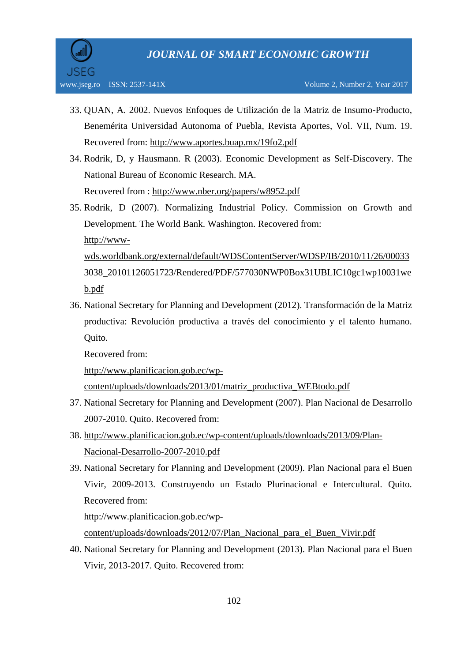- 33. QUAN, A. 2002. Nuevos Enfoques de Utilización de la Matriz de Insumo-Producto, Benemérita Universidad Autonoma of Puebla, Revista Aportes, Vol. VII, Num. 19. Recovered from:<http://www.aportes.buap.mx/19fo2.pdf>
- 34. Rodrik, D, y Hausmann. R (2003). Economic Development as Self-Discovery. The National Bureau of Economic Research. MA. Recovered from :<http://www.nber.org/papers/w8952.pdf>
- 35. Rodrik, D (2007). Normalizing Industrial Policy. Commission on Growth and Development. The World Bank. Washington. Recovered from: [http://www](http://www-wds.worldbank.org/external/default/WDSContentServer/WDSP/IB/2010/11/26/000333038_20101126051723/Rendered/PDF/577030NWP0Box31UBLIC10gc1wp10031web.pdf)[wds.worldbank.org/external/default/WDSContentServer/WDSP/IB/2010/11/26/00033](http://www-wds.worldbank.org/external/default/WDSContentServer/WDSP/IB/2010/11/26/000333038_20101126051723/Rendered/PDF/577030NWP0Box31UBLIC10gc1wp10031web.pdf) [3038\\_20101126051723/Rendered/PDF/577030NWP0Box31UBLIC10gc1wp10031we](http://www-wds.worldbank.org/external/default/WDSContentServer/WDSP/IB/2010/11/26/000333038_20101126051723/Rendered/PDF/577030NWP0Box31UBLIC10gc1wp10031web.pdf) [b.pdf](http://www-wds.worldbank.org/external/default/WDSContentServer/WDSP/IB/2010/11/26/000333038_20101126051723/Rendered/PDF/577030NWP0Box31UBLIC10gc1wp10031web.pdf)
- 36. National Secretary for Planning and Development (2012). Transformación de la Matriz productiva: Revolución productiva a través del conocimiento y el talento humano. Quito.

Recovered from:

[http://www.planificacion.gob.ec/wp-](http://www.planificacion.gob.ec/wp-content/uploads/downloads/2013/01/matriz_productiva_WEBtodo.pdf)

[content/uploads/downloads/2013/01/matriz\\_productiva\\_WEBtodo.pdf](http://www.planificacion.gob.ec/wp-content/uploads/downloads/2013/01/matriz_productiva_WEBtodo.pdf)

- 37. National Secretary for Planning and Development (2007). Plan Nacional de Desarrollo 2007-2010. Quito. Recovered from:
- 38. [http://www.planificacion.gob.ec/wp-content/uploads/downloads/2013/09/Plan-](http://www.planificacion.gob.ec/wp-content/uploads/downloads/2013/09/Plan-Nacional-Desarrollo-2007-2010.pdf)[Nacional-Desarrollo-2007-2010.pdf](http://www.planificacion.gob.ec/wp-content/uploads/downloads/2013/09/Plan-Nacional-Desarrollo-2007-2010.pdf)
- 39. National Secretary for Planning and Development (2009). Plan Nacional para el Buen Vivir, 2009-2013. Construyendo un Estado Plurinacional e Intercultural. Quito. Recovered from:

http://www.planificacion.gob.ec/wpcontent/uploads/downloads/2012/07/Plan\_Nacional\_para\_el\_Buen\_Vivir.pdf

40. National Secretary for Planning and Development (2013). Plan Nacional para el Buen Vivir, 2013-2017. Quito. Recovered from: